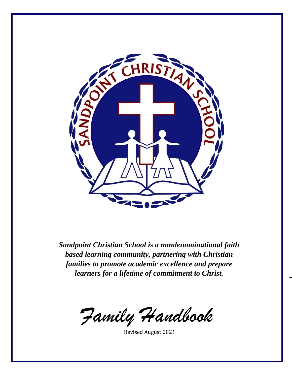

*Sandpoint Christian School is a nondenominational faith based learning community, partnering with Christian families to promote academic excellence and prepare learners for a lifetime of commitment to Christ.*

*–*

*Family Handbook*

Revised August 2021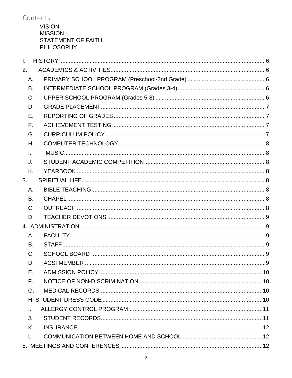# Contents

**VISION MISSION STATEMENT OF FAITH PHILOSOPHY** 

| Ī.           |    |  |  |  |  |
|--------------|----|--|--|--|--|
| 2.           |    |  |  |  |  |
| A.           |    |  |  |  |  |
| B.           |    |  |  |  |  |
| C.           |    |  |  |  |  |
| D.           |    |  |  |  |  |
| Е.           |    |  |  |  |  |
| F.           |    |  |  |  |  |
| G.           |    |  |  |  |  |
| Η.           |    |  |  |  |  |
| I.           |    |  |  |  |  |
| J.           |    |  |  |  |  |
| K.           |    |  |  |  |  |
| 3.           |    |  |  |  |  |
| Α.           |    |  |  |  |  |
| B.           |    |  |  |  |  |
| C.           |    |  |  |  |  |
| D.           |    |  |  |  |  |
|              |    |  |  |  |  |
| Α.           |    |  |  |  |  |
| B.           |    |  |  |  |  |
| C.           |    |  |  |  |  |
| D.           |    |  |  |  |  |
|              | Е. |  |  |  |  |
| F.           |    |  |  |  |  |
| G.           |    |  |  |  |  |
|              |    |  |  |  |  |
| $\mathbf{L}$ |    |  |  |  |  |
| J.           |    |  |  |  |  |
| Κ.           |    |  |  |  |  |
| L.           |    |  |  |  |  |
|              |    |  |  |  |  |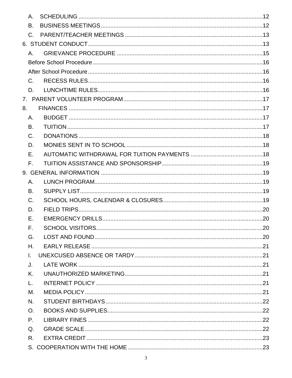|    | A.           |  |
|----|--------------|--|
|    | <b>B.</b>    |  |
|    | $C_{\cdot}$  |  |
|    |              |  |
|    | A.           |  |
|    |              |  |
|    |              |  |
|    | $C_{\cdot}$  |  |
|    | D.           |  |
|    |              |  |
| 8. |              |  |
|    | Α.           |  |
|    | B.           |  |
|    | C.           |  |
|    | D.           |  |
|    | Е.           |  |
|    | F.           |  |
|    |              |  |
|    | Α.           |  |
|    | В.           |  |
|    | C.           |  |
|    | D.           |  |
|    | Е.           |  |
|    | F.           |  |
|    | G.           |  |
|    | Η.           |  |
|    | $\mathbf{L}$ |  |
|    | J.           |  |
|    | Κ.           |  |
|    | L.           |  |
|    | М.           |  |
|    | N.           |  |
|    | O.           |  |
|    | P.           |  |
|    | Q.           |  |
|    | R.           |  |
|    |              |  |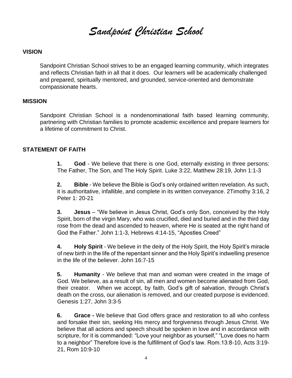*Sandpoint Christian School*

#### **VISION**

Sandpoint Christian School strives to be an engaged learning community, which integrates and reflects Christian faith in all that it does. Our learners will be academically challenged and prepared, spiritually mentored, and grounded, service-oriented and demonstrate compassionate hearts.

#### **MISSION**

Sandpoint Christian School is a nondenominational faith based learning community, partnering with Christian families to promote academic excellence and prepare learners for a lifetime of commitment to Christ.

#### **STATEMENT OF FAITH**

**1. God** - We believe that there is one God, eternally existing in three persons: The Father, The Son, and The Holy Spirit. Luke 3:22, Matthew 28:19, John 1:1-3

**2. Bible** - We believe the Bible is God's only ordained written revelation. As such, it is authoritative, infallible, and complete in its written conveyance. 2Timothy 3:16, 2 Peter 1: 20-21

**3. Jesus** – "We believe in Jesus Christ, God's only Son, conceived by the Holy Spirit, born of the virgin Mary, who was crucified, died and buried and in the third day rose from the dead and ascended to heaven, where He is seated at the right hand of God the Father." John 1:1-3, Hebrews 4:14-15, "Apostles Creed"

**4. Holy Spirit** - We believe in the deity of the Holy Spirit, the Holy Spirit's miracle of new birth in the life of the repentant sinner and the Holy Spirit's indwelling presence in the life of the believer. John 16:7-15

**5. Humanity** - We believe that man and woman were created in the image of God. We believe, as a result of sin, all men and women become alienated from God, their creator. When we accept, by faith, God's gift of salvation, through Christ's death on the cross, our alienation is removed, and our created purpose is evidenced. Genesis 1:27, John 3:3-5

**6. Grace -** We believe that God offers grace and restoration to all who confess and forsake their sin, seeking His mercy and forgiveness through Jesus Christ. We believe that all actions and speech should be spoken in love and in accordance with scripture, for it is commanded: "Love your neighbor as yourself," "Love does no harm to a neighbor" Therefore love is the fulfillment of God's law. Rom.13:8-10, Acts 3:19- 21, Rom 10:9-10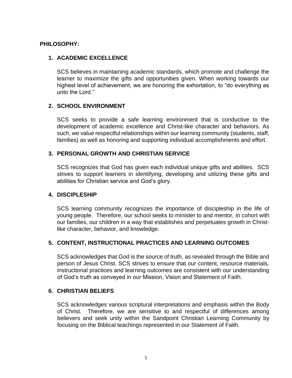#### **PHILOSOPHY:**

### **1. ACADEMIC EXCELLENCE**

SCS believes in maintaining academic standards, which promote and challenge the learner to maximize the gifts and opportunities given. When working towards our highest level of achievement, we are honoring the exhortation, to "do everything as unto the Lord."

#### **2. SCHOOL ENVIRONMENT**

SCS seeks to provide a safe learning environment that is conductive to the development of academic excellence and Christ-like character and behaviors. As such, we value respectful relationships within our learning community (students, staff, families) as well as honoring and supporting individual accomplishments and effort.

#### **3. PERSONAL GROWTH AND CHRISTIAN SERVICE**

SCS recognizes that God has given each individual unique gifts and abilities. SCS strives to support learners in identifying, developing and utilizing these gifts and abilities for Christian service and God's glory.

#### **4. DISCIPLESHIP**

SCS learning community recognizes the importance of discipleship in the life of young people. Therefore, our school seeks to minister to and mentor, in cohort with our families, our children in a way that establishes and perpetuates growth in Christlike character, behavior, and knowledge.

### **5. CONTENT, INSTRUCTIONAL PRACTICES AND LEARNING OUTCOMES**

SCS acknowledges that God is the source of truth, as revealed through the Bible and person of Jesus Christ. SCS strives to ensure that our content, resource materials, instructional practices and learning outcomes are consistent with our understanding of God's truth as conveyed in our Mission, Vision and Statement of Faith.

#### **6. CHRISTIAN BELIEFS**

SCS acknowledges various scriptural interpretations and emphasis within the Body of Christ. Therefore, we are sensitive to and respectful of differences among believers and seek unity within the Sandpoint Christian Learning Community by focusing on the Biblical teachings represented in our Statement of Faith.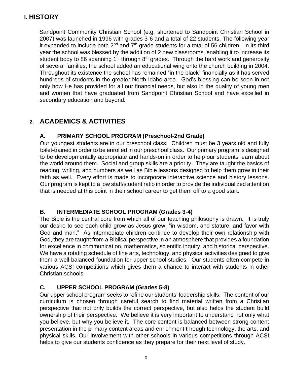# <span id="page-5-0"></span>**I. HISTORY**

Sandpoint Community Christian School (e.g. shortened to Sandpoint Christian School in 2007) was launched in 1996 with grades 3-6 and a total of 22 students. The following year it expanded to include both  $2^{nd}$  and  $7^{th}$  grade students for a total of 56 children. In its third year the school was blessed by the addition of 2 new classrooms, enabling it to increase its student body to 86 spanning  $1<sup>st</sup>$  through  $8<sup>th</sup>$  grades. Through the hard work and generosity of several families, the school added an educational wing onto the church building in 2004. Throughout its existence the school has remained "in the black" financially as it has served hundreds of students in the greater North Idaho area. God's blessing can be seen in not only how He has provided for all our financial needs, but also in the quality of young men and women that have graduated from Sandpoint Christian School and have excelled in secondary education and beyond.

# <span id="page-5-1"></span>**2. ACADEMICS & ACTIVITIES**

## <span id="page-5-2"></span>**A. PRIMARY SCHOOL PROGRAM (Preschool-2nd Grade)**

Our youngest students are in our preschool class. Children must be 3 years old and fully toilet-trained in order to be enrolled in our preschool class. Our primary program is designed to be developmentally appropriate and hands-on in order to help our students learn about the world around them. Social and group skills are a priority. They are taught the basics of reading, writing, and numbers as well as Bible lessons designed to help them grow in their faith as well. Every effort is made to incorporate interactive science and history lessons. Our program is kept to a low staff/student ratio in order to provide the individualized attention that is needed at this point in their school career to get them off to a good start.

## <span id="page-5-3"></span>**B. INTERMEDIATE SCHOOL PROGRAM (Grades 3-4)**

The Bible is the central core from which all of our teaching philosophy is drawn. It is truly our desire to see each child grow as Jesus grew, "in wisdom, and stature, and favor with God and man." As intermediate children continue to develop their own relationship with God, they are taught from a Biblical perspective in an atmosphere that provides a foundation for excellence in communication, mathematics, scientific inquiry, and historical perspective. We have a rotating schedule of fine arts, technology, and physical activities designed to give them a well-balanced foundation for upper school studies. Our students often compete in various ACSI competitions which gives them a chance to interact with students in other Christian schools.

## <span id="page-5-4"></span>**C. UPPER SCHOOL PROGRAM (Grades 5-8)**

Our upper school program seeks to refine our students' leadership skills. The content of our curriculum is chosen through careful search to find material written from a Christian perspective that not only builds the correct perspective, but also helps the student build ownership of their perspective. We believe it is very important to understand not only what you believe, but why you believe it. The core content is balanced between strong content presentation in the primary content areas and enrichment through technology, the arts, and physical skills. Our involvement with other schools in various competitions through ACSI helps to give our students confidence as they prepare for their next level of study.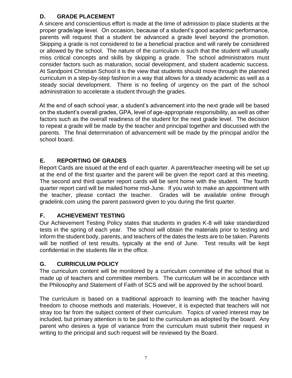## <span id="page-6-0"></span>**D. GRADE PLACEMENT**

A sincere and conscientious effort is made at the time of admission to place students at the proper grade/age level. On occasion, because of a student's good academic performance, parents will request that a student be advanced a grade level beyond the promotion. Skipping a grade is not considered to be a beneficial practice and will rarely be considered or allowed by the school. The nature of the curriculum is such that the student will usually miss critical concepts and skills by skipping a grade. The school administrators must consider factors such as maturation, social development, and student academic success. At Sandpoint Christian School it is the view that students should move through the planned curriculum in a step-by-step fashion in a way that allows for a steady academic as well as a steady social development. There is no feeling of urgency on the part of the school administration to accelerate a student through the grades.

At the end of each school year, a student's advancement into the next grade will be based on the student's overall grades, GPA, level of age-appropriate responsibility, as well as other factors such as the overall readiness of the student for the next grade level. The decision to repeat a grade will be made by the teacher and principal together and discussed with the parents. The final determination of advancement will be made by the principal and/or the school board.

## <span id="page-6-1"></span>**E. REPORTING OF GRADES**

Report Cards are issued at the end of each quarter. A parent/teacher meeting will be set up at the end of the first quarter and the parent will be given the report card at this meeting. The second and third quarter report cards will be sent home with the student. The fourth quarter report card will be mailed home mid-June. If you wish to make an appointment with the teacher, please contact the teacher. Grades will be available online through gradelink.com using the parent password given to you during the first quarter.

## <span id="page-6-2"></span>**F. ACHIEVEMENT TESTING**

Our Achievement Testing Policy states that students in grades K-8 will take standardized tests in the spring of each year. The school will obtain the materials prior to testing and inform the student body, parents, and teachers of the dates the tests are to be taken. Parents will be notified of test results, typically at the end of June. Test results will be kept confidential in the students file in the office.

## <span id="page-6-3"></span>**G. CURRICULUM POLICY**

The curriculum content will be monitored by a curriculum committee of the school that is made up of teachers and committee members. The curriculum will be in accordance with the Philosophy and Statement of Faith of SCS and will be approved by the school board.

The curriculum is based on a traditional approach to learning with the teacher having freedom to choose methods and materials. However, it is expected that teachers will not stray too far from the subject content of their curriculum. Topics of varied interest may be included, but primary attention is to be paid to the curriculum as adopted by the board. Any parent who desires a type of variance from the curriculum must submit their request in writing to the principal and such request will be reviewed by the Board.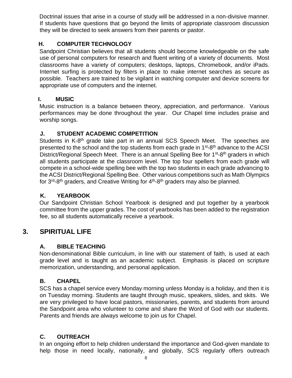Doctrinal issues that arise in a course of study will be addressed in a non-divisive manner. If students have questions that go beyond the limits of appropriate classroom discussion they will be directed to seek answers from their parents or pastor.

## <span id="page-7-0"></span>**H. COMPUTER TECHNOLOGY**

Sandpoint Christian believes that all students should become knowledgeable on the safe use of personal computers for research and fluent writing of a variety of documents. Most classrooms have a variety of computers; desktops, laptops, Chromebook, and/or iPads. Internet surfing is protected by filters in place to make internet searches as secure as possible. Teachers are trained to be vigilant in watching computer and device screens for appropriate use of computers and the internet.

### <span id="page-7-1"></span>**I. MUSIC**

Music instruction is a balance between theory, appreciation, and performance. Various performances may be done throughout the year. Our Chapel time includes praise and worship songs.

## <span id="page-7-2"></span>**J. STUDENT ACADEMIC COMPETITION**

Students in K-8<sup>th</sup> grade take part in an annual SCS Speech Meet. The speeches are presented to the school and the top students from each grade in 1<sup>st</sup>-8<sup>th</sup> advance to the ACSI District/Regional Speech Meet. There is an annual Spelling Bee for 1<sup>st</sup>-8<sup>th</sup> graders in which all students participate at the classroom level. The top four spellers from each grade will compete in a school-wide spelling bee with the top two students in each grade advancing to the ACSI District/Regional Spelling Bee. Other various competitions such as Math Olympics for 3<sup>rd</sup>-8<sup>th</sup> graders, and Creative Writing for 4<sup>th</sup>-8<sup>th</sup> graders may also be planned.

## <span id="page-7-3"></span>**K. YEARBOOK**

Our Sandpoint Christian School Yearbook is designed and put together by a yearbook committee from the upper grades. The cost of yearbooks has been added to the registration fee, so all students automatically receive a yearbook.

# <span id="page-7-4"></span>**3. SPIRITUAL LIFE**

## <span id="page-7-5"></span>**A. BIBLE TEACHING**

Non-denominational Bible curriculum, in line with our statement of faith, is used at each grade level and is taught as an academic subject. Emphasis is placed on scripture memorization, understanding, and personal application.

## <span id="page-7-6"></span>**B. CHAPEL**

SCS has a chapel service every Monday morning unless Monday is a holiday, and then it is on Tuesday morning. Students are taught through music, speakers, slides, and skits. We are very privileged to have local pastors, missionaries, parents, and students from around the Sandpoint area who volunteer to come and share the Word of God with our students. Parents and friends are always welcome to join us for Chapel.

# <span id="page-7-7"></span>**C. OUTREACH**

In an ongoing effort to help children understand the importance and God-given mandate to help those in need locally, nationally, and globally, SCS regularly offers outreach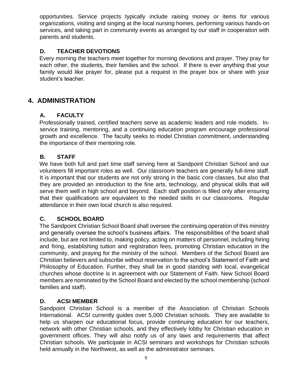opportunities. Service projects typically include raising money or items for various organizations, visiting and singing at the local nursing homes, performing various hands-on services, and taking part in community events as arranged by our staff in cooperation with parents and students.

## <span id="page-8-0"></span>**D. TEACHER DEVOTIONS**

Every morning the teachers meet together for morning devotions and prayer. They pray for each other, the students, their families and the school. If there is ever anything that your family would like prayer for, please put a request in the prayer box or share with your student's teacher.

# <span id="page-8-1"></span>**4. ADMINISTRATION**

#### <span id="page-8-2"></span>**A. FACULTY**

Professionally trained, certified teachers serve as academic leaders and role models. Inservice training, mentoring, and a continuing education program encourage professional growth and excellence. The faculty seeks to model Christian commitment, understanding the importance of their mentoring role.

#### <span id="page-8-3"></span>**B. STAFF**

We have both full and part time staff serving here at Sandpoint Christian School and our volunteers fill important roles as well. Our classroom teachers are generally full-time staff. It is important that our students are not only strong in the basic core classes, but also that they are provided an introduction to the fine arts, technology, and physical skills that will serve them well in high school and beyond. Each staff position is filled only after ensuring that their qualifications are equivalent to the needed skills in our classrooms. Regular attendance in their own local church is also required.

#### <span id="page-8-4"></span>**C. SCHOOL BOARD**

The Sandpoint Christian School Board shall oversee the continuing operation of this ministry and generally oversee the school's business affairs. The responsibilities of the board shall include, but are not limited to, making policy, acting on matters of personnel, including hiring and firing, establishing tuition and registration fees, promoting Christian education in the community, and praying for the ministry of the school. Members of the School Board are Christian believers and subscribe without reservation to the school's Statement of Faith and Philosophy of Education. Further, they shall be in good standing with local, evangelical churches whose doctrine is in agreement with our Statement of Faith. New School Board members are nominated by the School Board and elected by the school membership (school families and staff).

#### <span id="page-8-5"></span>**D. ACSI MEMBER**

Sandpoint Christian School is a member of the Association of Christian Schools International. ACSI currently guides over 5,000 Christian schools. They are available to help us sharpen our educational focus, provide continuing education for our teachers, network with other Christian schools, and they effectively lobby for Christian education in government offices. They will also notify us of any laws and requirements that affect Christian schools. We participate in ACSI seminars and workshops for Christian schools held annually in the Northwest, as well as the administrator seminars.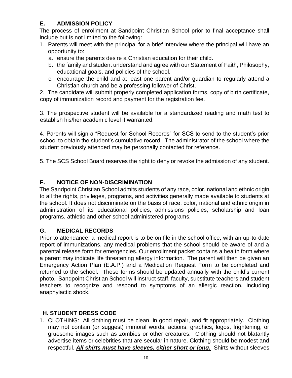# <span id="page-9-0"></span>**E. ADMISSION POLICY**

The process of enrollment at Sandpoint Christian School prior to final acceptance shall include but is not limited to the following:

- 1. Parents will meet with the principal for a brief interview where the principal will have an opportunity to:
	- a. ensure the parents desire a Christian education for their child.
	- b. the family and student understand and agree with our Statement of Faith, Philosophy, educational goals, and policies of the school.
	- c. encourage the child and at least one parent and/or guardian to regularly attend a Christian church and be a professing follower of Christ.

2. The candidate will submit properly completed application forms, copy of birth certificate, copy of immunization record and payment for the registration fee.

3. The prospective student will be available for a standardized reading and math test to establish his/her academic level if warranted.

4. Parents will sign a "Request for School Records" for SCS to send to the student's prior school to obtain the student's cumulative record. The administrator of the school where the student previously attended may be personally contacted for reference.

5. The SCS School Board reserves the right to deny or revoke the admission of any student.

## <span id="page-9-1"></span>**F. NOTICE OF NON-DISCRIMINATION**

The Sandpoint Christian School admits students of any race, color, national and ethnic origin to all the rights, privileges, programs, and activities generally made available to students at the school. It does not discriminate on the basis of race, color, national and ethnic origin in administration of its educational policies, admissions policies, scholarship and loan programs, athletic and other school administered programs.

## <span id="page-9-2"></span>**G. MEDICAL RECORDS**

Prior to attendance, a medical report is to be on file in the school office, with an up-to-date report of immunizations, any medical problems that the school should be aware of and a parental release form for emergencies. Our enrollment packet contains a health form where a parent may indicate life threatening allergy information. The parent will then be given an Emergency Action Plan (E.A.P.) and a Medication Request Form to be completed and returned to the school. These forms should be updated annually with the child's current photo. Sandpoint Christian School will instruct staff, faculty, substitute teachers and student teachers to recognize and respond to symptoms of an allergic reaction, including anaphylactic shock.

## <span id="page-9-3"></span>**H. STUDENT DRESS CODE**

1. CLOTHING: All clothing must be clean, in good repair, and fit appropriately. Clothing may not contain (or suggest) immoral words, actions, graphics, logos, frightening, or gruesome images such as zombies or other creatures. Clothing should not blatantly advertise items or celebrities that are secular in nature. Clothing should be modest and respectful. *All shirts must have sleeves, either short or long.* Shirts without sleeves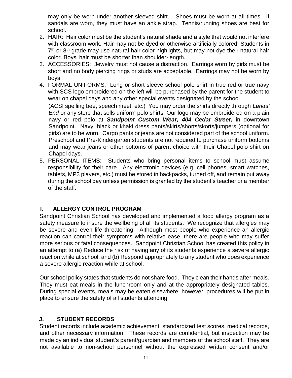may only be worn under another sleeved shirt. Shoes must be worn at all times. If sandals are worn, they must have an ankle strap. Tennis/running shoes are best for school.

- 2. HAIR: Hair color must be the student's natural shade and a style that would not interfere with classroom work. Hair may not be dyed or otherwise artificially colored. Students in 7<sup>th</sup> or 8<sup>th</sup> grade may use natural hair color highlights, but may not dye their natural hair color. Boys' hair must be shorter than shoulder-length.
- 3. ACCESSORIES: Jewelry must not cause a distraction. Earrings worn by girls must be short and no body piercing rings or studs are acceptable. Earrings may not be worn by boys.
- 4. FORMAL UNIFORMS: Long or short sleeve school polo shirt in true red or true navy with SCS logo embroidered on the left will be purchased by the parent for the student to wear on chapel days and any other special events designated by the school

(ACSI spelling bee, speech meet, etc.) You may order the shirts directly through *Lands' End* or any store that sells uniform polo shirts. Our logo may be embroidered on a plain navy or red polo at *Sandpoint Custom Wear, 404 Cedar Street,* in downtown Sandpoint. Navy, black or khaki dress pants/skirts/shorts/skorts/jumpers (optional for girls) are to be worn. Cargo pants or jeans are not considered part of the school uniform. Preschool and Pre-Kindergarten students are not required to purchase uniform bottoms and may wear jeans or other bottoms of parent choice with their Chapel polo shirt on Chapel days.

5. PERSONAL ITEMS: Students who bring personal items to school must assume responsibility for their care. Any electronic devices (e.g. cell phones, smart watches, tablets, MP3 players, etc.) must be stored in backpacks, turned off, and remain put away during the school day unless permission is granted by the student's teacher or a member of the staff.

## <span id="page-10-0"></span> **I. ALLERGY CONTROL PROGRAM**

Sandpoint Christian School has developed and implemented a food allergy program as a safety measure to insure the wellbeing of all its students. We recognize that allergies may be severe and even life threatening. Although most people who experience an allergic reaction can control their symptoms with relative ease, there are people who may suffer more serious or fatal consequences. Sandpoint Christian School has created this policy in an attempt to (a) Reduce the risk of having any of its students experience a severe allergic reaction while at school; and (b) Respond appropriately to any student who does experience a severe allergic reaction while at school.

Our school policy states that students do not share food. They clean their hands after meals. They must eat meals in the lunchroom only and at the appropriately designated tables. During special events, meals may be eaten elsewhere; however, procedures will be put in place to ensure the safety of all students attending.

### <span id="page-10-1"></span>**J. STUDENT RECORDS**

Student records include academic achievement, standardized test scores, medical records, and other necessary information. These records are confidential, but inspection may be made by an individual student's parent/guardian and members of the school staff. They are not available to non-school personnel without the expressed written consent and/or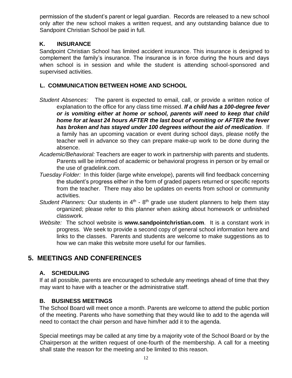permission of the student's parent or legal guardian. Records are released to a new school only after the new school makes a written request, and any outstanding balance due to Sandpoint Christian School be paid in full.

### <span id="page-11-0"></span>**K. INSURANCE**

Sandpoint Christian School has limited accident insurance. This insurance is designed to complement the family's insurance. The insurance is in force during the hours and days when school is in session and while the student is attending school-sponsored and supervised activities.

### <span id="page-11-1"></span>**L. COMMUNICATION BETWEEN HOME AND SCHOOL**

- *Student Absences:* The parent is expected to email, call, or provide a written notice of explanation to the office for any class time missed. *If a child has a 100-degree fever or is vomiting either at home or school, parents will need to keep that child home for at least 24 hours AFTER the last bout of vomiting or AFTER the fever has broken and has stayed under 100 degrees without the aid of medication*. If a family has an upcoming vacation or event during school days, please notify the teacher well in advance so they can prepare make-up work to be done during the absence.
- *Academic/Behavioral:* Teachers are eager to work in partnership with parents and students. Parents will be informed of academic or behavioral progress in person or by email or the use of gradelink.com.
- *Tuesday Folder:* In this folder (large white envelope), parents will find feedback concerning the student's progress either in the form of graded papers returned or specific reports from the teacher. There may also be updates on events from school or community activities.
- Student Planners: Our students in 4<sup>th</sup> 8<sup>th</sup> grade use student planners to help them stay organized; please refer to this planner when asking about homework or unfinished classwork.
- *Website:* The school website is **www.sandpointchristian.com**. It is a constant work in progress. We seek to provide a second copy of general school information here and links to the classes. Parents and students are welcome to make suggestions as to how we can make this website more useful for our families.

# <span id="page-11-3"></span><span id="page-11-2"></span>**5. MEETINGS AND CONFERENCES**

## **A. SCHEDULING**

If at all possible, parents are encouraged to schedule any meetings ahead of time that they may want to have with a teacher or the administrative staff.

## <span id="page-11-4"></span>**B. BUSINESS MEETINGS**

The School Board will meet once a month. Parents are welcome to attend the public portion of the meeting. Parents who have something that they would like to add to the agenda will need to contact the chair person and have him/her add it to the agenda.

Special meetings may be called at any time by a majority vote of the School Board or by the Chairperson at the written request of one-fourth of the membership. A call for a meeting shall state the reason for the meeting and be limited to this reason.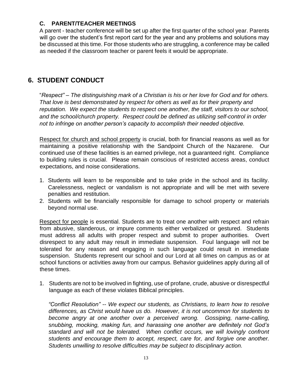## <span id="page-12-0"></span>**C. PARENT/TEACHER MEETINGS**

A parent - teacher conference will be set up after the first quarter of the school year. Parents will go over the student's first report card for the year and any problems and solutions may be discussed at this time. For those students who are struggling, a conference may be called as needed if the classroom teacher or parent feels it would be appropriate.

# <span id="page-12-1"></span>**6. STUDENT CONDUCT**

"*Respect" – The distinguishing mark of a Christian is his or her love for God and for others. That love is best demonstrated by respect for others as well as for their property and reputation. We expect the students to respect one another, the staff, visitors to our school, and the school/church property. Respect could be defined as utilizing self-control in order not to infringe on another person's capacity to accomplish their needed objective.* 

Respect for church and school property is crucial, both for financial reasons as well as for maintaining a positive relationship with the Sandpoint Church of the Nazarene. Our continued use of these facilities is an earned privilege, not a guaranteed right. Compliance to building rules is crucial. Please remain conscious of restricted access areas, conduct expectations, and noise considerations.

- 1. Students will learn to be responsible and to take pride in the school and its facility. Carelessness, neglect or vandalism is not appropriate and will be met with severe penalties and restitution.
- 2. Students will be financially responsible for damage to school property or materials beyond normal use.

Respect for people is essential. Students are to treat one another with respect and refrain from abusive, slanderous, or impure comments either verbalized or gestured. Students must address all adults with proper respect and submit to proper authorities. Overt disrespect to any adult may result in immediate suspension. Foul language will not be tolerated for any reason and engaging in such language could result in immediate suspension. Students represent our school and our Lord at all times on campus as or at school functions or activities away from our campus. Behavior guidelines apply during all of these times.

1. Students are not to be involved in fighting, use of profane, crude, abusive or disrespectful language as each of these violates Biblical principles.

*"Conflict Resolution" -- We expect our students, as Christians, to learn how to resolve differences, as Christ would have us do. However, it is not uncommon for students to become angry at one another over a perceived wrong. Gossiping, name-calling, snubbing, mocking, making fun, and harassing one another are definitely not God's standard and will not be tolerated. When conflict occurs, we will lovingly confront students and encourage them to accept, respect, care for, and forgive one another. Students unwilling to resolve difficulties may be subject to disciplinary action.*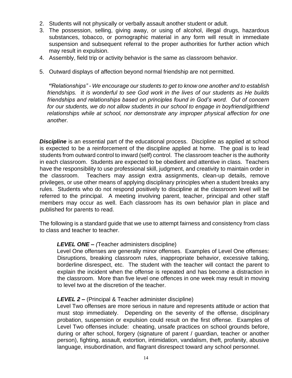- 2. Students will not physically or verbally assault another student or adult.
- 3. The possession, selling, giving away, or using of alcohol, illegal drugs, hazardous substances, tobacco, or pornographic material in any form will result in immediate suspension and subsequent referral to the proper authorities for further action which may result in expulsion.
- 4. Assembly, field trip or activity behavior is the same as classroom behavior.
- 5. Outward displays of affection beyond normal friendship are not permitted.

*"Relationships" - We encourage our students to get to know one another and to establish friendships. It is wonderful to see God work in the lives of our students as He builds friendships and relationships based on principles found in God's word. Out of concern for our students, we do not allow students in our school to engage in boyfriend/girlfriend relationships while at school, nor demonstrate any improper physical affection for one another.* 

**Discipline** is an essential part of the educational process. Discipline as applied at school is expected to be a reinforcement of the discipline applied at home. The goal is to lead students from outward control to inward (self) control. The classroom teacher is the authority in each classroom. Students are expected to be obedient and attentive in class. Teachers have the responsibility to use professional skill, judgment, and creativity to maintain order in the classroom. Teachers may assign extra assignments, clean-up details, remove privileges, or use other means of applying disciplinary principles when a student breaks any rules. Students who do not respond positively to discipline at the classroom level will be referred to the principal. A meeting involving parent, teacher, principal and other staff members may occur as well. Each classroom has its own behavior plan in place and published for parents to read.

The following is a standard guide that we use to attempt fairness and consistency from class to class and teacher to teacher.

#### *LEVEL ONE – (*Teacher administers discipline)

Level One offenses are generally minor offenses. Examples of Level One offenses: Disruptions, breaking classroom rules, inappropriate behavior, excessive talking, borderline disrespect, etc. The student with the teacher will contact the parent to explain the incident when the offense is repeated and has become a distraction in the classroom. More than five level one offences in one week may result in moving to level two at the discretion of the teacher.

### *LEVEL 2 –* (Principal & Teacher administer discipline)

Level Two offenses are more serious in nature and represents attitude or action that must stop immediately. Depending on the severity of the offense, disciplinary probation, suspension or expulsion could result on the first offense. Examples of Level Two offenses include: cheating, unsafe practices on school grounds before, during or after school, forgery (signature of parent / guardian, teacher or another person), fighting, assault, extortion, intimidation, vandalism, theft, profanity, abusive language, insubordination, and flagrant disrespect toward any school personnel.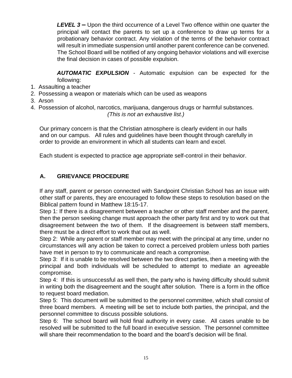*LEVEL 3* **–** Upon the third occurrence of a Level Two offence within one quarter the principal will contact the parents to set up a conference to draw up terms for a probationary behavior contract. Any violation of the terms of the behavior contract will result in immediate suspension until another parent conference can be convened. The School Board will be notified of any ongoing behavior violations and will exercise the final decision in cases of possible expulsion.

*AUTOMATIC EXPULSION* - Automatic expulsion can be expected for the following:

- 1. Assaulting a teacher
- 2. Possessing a weapon or materials which can be used as weapons
- 3. Arson
- 4. Possession of alcohol, narcotics, marijuana, dangerous drugs or harmful substances.

*(This is not an exhaustive list.)*

Our primary concern is that the Christian atmosphere is clearly evident in our halls and on our campus. All rules and guidelines have been thought through carefully in order to provide an environment in which all students can learn and excel.

Each student is expected to practice age appropriate self-control in their behavior.

### <span id="page-14-0"></span>**A. GRIEVANCE PROCEDURE**

If any staff, parent or person connected with Sandpoint Christian School has an issue with other staff or parents, they are encouraged to follow these steps to resolution based on the Biblical pattern found in Matthew 18:15-17.

Step 1: If there is a disagreement between a teacher or other staff member and the parent, then the person seeking change must approach the other party first and try to work out that disagreement between the two of them. If the disagreement is between staff members, there must be a direct effort to work that out as well.

Step 2: While any parent or staff member may meet with the principal at any time, under no circumstances will any action be taken to correct a perceived problem unless both parties have met in person to try to communicate and reach a compromise.

Step 3: If it is unable to be resolved between the two direct parties, then a meeting with the principal and both individuals will be scheduled to attempt to mediate an agreeable compromise.

Step 4: If this is unsuccessful as well then, the party who is having difficulty should submit in writing both the disagreement and the sought after solution. There is a form in the office to request board mediation.

Step 5: This document will be submitted to the personnel committee, which shall consist of three board members. A meeting will be set to include both parties, the principal, and the personnel committee to discuss possible solutions.

Step 6: The school board will hold final authority in every case. All cases unable to be resolved will be submitted to the full board in executive session. The personnel committee will share their recommendation to the board and the board's decision will be final.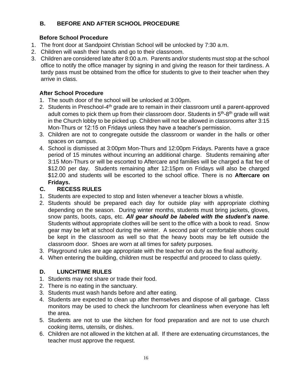## **B. BEFORE AND AFTER SCHOOL PROCEDURE**

### **Before School Procedure**

- <span id="page-15-0"></span>1. The front door at Sandpoint Christian School will be unlocked by 7:30 a.m.
- 2. Children will wash their hands and go to their classroom.
- 3. Children are considered late after 8:00 a.m. Parents and/or students must stop at the school office to notify the office manager by signing in and giving the reason for their tardiness. A tardy pass must be obtained from the office for students to give to their teacher when they arrive in class.

## <span id="page-15-1"></span>**After School Procedure**

- 1. The south door of the school will be unlocked at 3:00pm.
- 2. Students in Preschool-4<sup>th</sup> grade are to remain in their classroom until a parent-approved adult comes to pick them up from their classroom door. Students in 5<sup>th</sup>-8<sup>th</sup> grade will wait in the Church lobby to be picked up. Children will not be allowed in classrooms after 3:15 Mon-Thurs or 12:15 on Fridays unless they have a teacher's permission.
- 3. Children are not to congregate outside the classroom or wander in the halls or other spaces on campus.
- 4. School is dismissed at 3:00pm Mon-Thurs and 12:00pm Fridays. Parents have a grace period of 15 minutes without incurring an additional charge. Students remaining after 3:15 Mon-Thurs or will be escorted to Aftercare and families will be charged a flat fee of \$12.00 per day. Students remaining after 12:15pm on Fridays will also be charged \$12.00 and students will be escorted to the school office. There is no **Aftercare on Fridays.**

### <span id="page-15-2"></span>**C. RECESS RULES**

- 1. Students are expected to stop and listen whenever a teacher blows a whistle.
- 2. Students should be prepared each day for outside play with appropriate clothing depending on the season. During winter months, students must bring jackets, gloves, snow pants, boots, caps, etc. *All gear should be labeled with the student's name.* Students without appropriate clothes will be sent to the office with a book to read. Snow gear may be left at school during the winter. A second pair of comfortable shoes could be kept in the classroom as well so that the heavy boots may be left outside the classroom door. Shoes are worn at all times for safety purposes.
- 3. Playground rules are age appropriate with the teacher on duty as the final authority.
- 4. When entering the building, children must be respectful and proceed to class quietly.

## <span id="page-15-3"></span>**D. LUNCHTIME RULES**

- 1. Students may not share or trade their food.
- 2. There is no eating in the sanctuary.
- 3. Students must wash hands before and after eating.
- 4. Students are expected to clean up after themselves and dispose of all garbage. Class monitors may be used to check the lunchroom for cleanliness when everyone has left the area.
- 5. Students are not to use the kitchen for food preparation and are not to use church cooking items, utensils, or dishes.
- 6. Children are not allowed in the kitchen at all. If there are extenuating circumstances, the teacher must approve the request.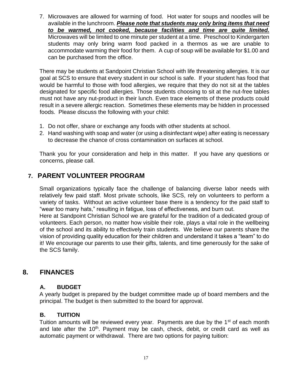7. Microwaves are allowed for warming of food. Hot water for soups and noodles will be available in the lunchroom. *Please note that students may only bring items that need to be warmed, not cooked, because facilities and time are quite limited.* Microwaves will be limited to one minute per student at a time. Preschool to Kindergarten students may only bring warm food packed in a thermos as we are unable to accommodate warming their food for them. A cup of soup will be available for \$1.00 and can be purchased from the office.

There may be students at Sandpoint Christian School with life threatening allergies. It is our goal at SCS to ensure that every student in our school is safe. If your student has food that would be harmful to those with food allergies, we require that they do not sit at the tables designated for specific food allergies. Those students choosing to sit at the nut-free tables must not have any nut-product in their lunch. Even trace elements of these products could result in a severe allergic reaction. Sometimes these elements may be hidden in processed foods. Please discuss the following with your child:

- 1. Do not offer, share or exchange any foods with other students at school.
- 2. Hand washing with soap and water (or using a disinfectant wipe) after eating is necessary to decrease the chance of cross contamination on surfaces at school.

Thank you for your consideration and help in this matter. If you have any questions or concerns, please call.

# <span id="page-16-0"></span>**7. PARENT VOLUNTEER PROGRAM**

Small organizations typically face the challenge of balancing diverse labor needs with relatively few paid staff. Most private schools, like SCS, rely on volunteers to perform a variety of tasks. Without an active volunteer base there is a tendency for the paid staff to "wear too many hats," resulting in fatigue, loss of effectiveness, and burn out.

Here at Sandpoint Christian School we are grateful for the tradition of a dedicated group of volunteers. Each person, no matter how visible their role, plays a vital role in the wellbeing of the school and its ability to effectively train students. We believe our parents share the vision of providing quality education for their children and understand it takes a "team" to do it! We encourage our parents to use their gifts, talents, and time generously for the sake of the SCS family.

# <span id="page-16-1"></span>**8. FINANCES**

### <span id="page-16-2"></span>**A. BUDGET**

A yearly budget is prepared by the budget committee made up of board members and the principal. The budget is then submitted to the board for approval.

### <span id="page-16-3"></span>**B. TUITION**

Tuition amounts will be reviewed every year. Payments are due by the  $1<sup>st</sup>$  of each month and late after the 10<sup>th</sup>. Payment may be cash, check, debit, or credit card as well as automatic payment or withdrawal. There are two options for paying tuition: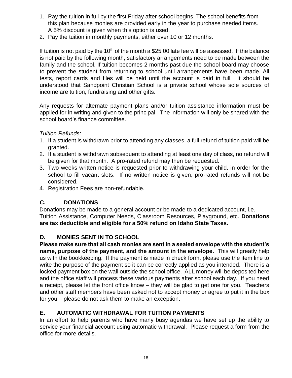- 1. Pay the tuition in full by the first Friday after school begins. The school benefits from this plan because monies are provided early in the year to purchase needed items. A 5% discount is given when this option is used.
- 2. Pay the tuition in monthly payments, either over 10 or 12 months.

If tuition is not paid by the 10<sup>th</sup> of the month a \$25.00 late fee will be assessed. If the balance is not paid by the following month, satisfactory arrangements need to be made between the family and the school. If tuition becomes 2 months past due the school board may choose to prevent the student from returning to school until arrangements have been made. All tests, report cards and files will be held until the account is paid in full. It should be understood that Sandpoint Christian School is a private school whose sole sources of income are tuition, fundraising and other gifts.

Any requests for alternate payment plans and/or tuition assistance information must be applied for in writing and given to the principal. The information will only be shared with the school board's finance committee.

## *Tuition Refunds:*

- 1. If a student is withdrawn prior to attending any classes, a full refund of tuition paid will be granted.
- 2. If a student is withdrawn subsequent to attending at least one day of class, no refund will be given for that month. A pro-rated refund may then be requested.
- 3. Two weeks written notice is requested prior to withdrawing your child, in order for the school to fill vacant slots. If no written notice is given, pro-rated refunds will not be considered.
- 4. Registration Fees are non-refundable.

## <span id="page-17-0"></span>**C. DONATIONS**

Donations may be made to a general account or be made to a dedicated account, i.e. Tuition Assistance, Computer Needs, Classroom Resources, Playground, etc. **Donations are tax deductible and eligible for a 50% refund on Idaho State Taxes.**

## <span id="page-17-1"></span>**D. MONIES SENT IN TO SCHOOL**

**Please make sure that all cash monies are sent in a sealed envelope with the student's name, purpose of the payment, and the amount in the envelope.** This will greatly help us with the bookkeeping. If the payment is made in check form, please use the item line to write the purpose of the payment so it can be correctly applied as you intended. There is a locked payment box on the wall outside the school office. ALL money will be deposited here and the office staff will process these various payments after school each day. If you need a receipt, please let the front office know – they will be glad to get one for you. Teachers and other staff members have been asked not to accept money or agree to put it in the box for you – please do not ask them to make an exception.

# <span id="page-17-2"></span>**E. AUTOMATIC WITHDRAWAL FOR TUITION PAYMENTS**

In an effort to help parents who have many busy agendas we have set up the ability to service your financial account using automatic withdrawal. Please request a form from the office for more details.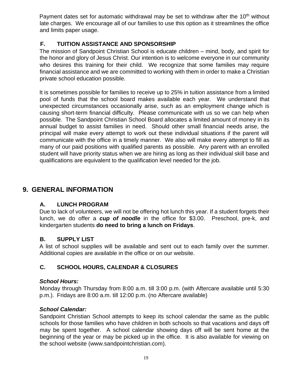Payment dates set for automatic withdrawal may be set to withdraw after the 10<sup>th</sup> without late charges. We encourage all of our families to use this option as it streamlines the office and limits paper usage.

## <span id="page-18-0"></span>**F. TUITION ASSISTANCE AND SPONSORSHIP**

The mission of Sandpoint Christian School is educate children – mind, body, and spirit for the honor and glory of Jesus Christ. Our intention is to welcome everyone in our community who desires this training for their child. We recognize that some families may require financial assistance and we are committed to working with them in order to make a Christian private school education possible.

It is sometimes possible for families to receive up to 25% in tuition assistance from a limited pool of funds that the school board makes available each year. We understand that unexpected circumstances occasionally arise, such as an employment change which is causing short-term financial difficulty. Please communicate with us so we can help when possible. The Sandpoint Christian School Board allocates a limited amount of money in its annual budget to assist families in need. Should other small financial needs arise, the principal will make every attempt to work out these individual situations if the parent will communicate with the office in a timely manner. We also will make every attempt to fill as many of our paid positions with qualified parents as possible. Any parent with an enrolled student will have priority status when we are hiring as long as their individual skill base and qualifications are equivalent to the qualification level needed for the job.

# <span id="page-18-1"></span>**9. GENERAL INFORMATION**

## <span id="page-18-2"></span>**A. LUNCH PROGRAM**

Due to lack of volunteers, we will not be offering hot lunch this year. If a student forgets their lunch, we do offer a *cup of noodle* in the office for \$3.00. Preschool, pre-k, and kindergarten students **do need to bring a lunch on Fridays**.

### <span id="page-18-3"></span>**B. SUPPLY LIST**

A list of school supplies will be available and sent out to each family over the summer. Additional copies are available in the office or on our website.

### <span id="page-18-4"></span>**C. SCHOOL HOURS, CALENDAR & CLOSURES**

### *School Hours:*

Monday through Thursday from 8:00 a.m. till 3:00 p.m. (with Aftercare available until 5:30 p.m.). Fridays are 8:00 a.m. till 12:00 p.m. (no Aftercare available)

### *School Calendar:*

Sandpoint Christian School attempts to keep its school calendar the same as the public schools for those families who have children in both schools so that vacations and days off may be spent together. A school calendar showing days off will be sent home at the beginning of the year or may be picked up in the office. It is also available for viewing on the school website (www.sandpointchristian.com).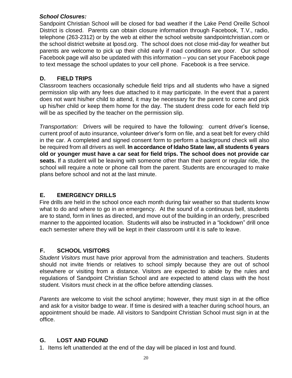### *School Closures:*

Sandpoint Christian School will be closed for bad weather if the Lake Pend Oreille School District is closed. Parents can obtain closure information through Facebook, T.V., radio, telephone (263-2312) or by the web at either the school website sandpointchristian.com or the school district website at lposd.org. The school does not close mid-day for weather but parents are welcome to pick up their child early if road conditions are poor. Our school Facebook page will also be updated with this information – you can set your Facebook page to text message the school updates to your cell phone. Facebook is a free service.

## <span id="page-19-0"></span>**D. FIELD TRIPS**

Classroom teachers occasionally schedule field trips and all students who have a signed permission slip with any fees due attached to it may participate. In the event that a parent does not want his/her child to attend, it may be necessary for the parent to come and pick up his/her child or keep them home for the day. The student dress code for each field trip will be as specified by the teacher on the permission slip.

*Transportation:* Drivers will be required to have the following: current driver's license, current proof of auto insurance, volunteer driver's form on file, and a seat belt for every child in the car. A completed and signed consent form to perform a background check will also be required from all drivers as well. **In accordance of Idaho State law, all students 6 years old or younger must have a car seat for field trips. The school does not provide car seats.** If a student will be leaving with someone other than their parent or regular ride, the school will require a note or phone call from the parent. Students are encouraged to make plans before school and not at the last minute.

## <span id="page-19-1"></span>**E. EMERGENCY DRILLS**

Fire drills are held in the school once each month during fair weather so that students know what to do and where to go in an emergency. At the sound of a continuous bell, students are to stand, form in lines as directed, and move out of the building in an orderly, prescribed manner to the appointed location. Students will also be instructed in a "lockdown" drill once each semester where they will be kept in their classroom until it is safe to leave.

## <span id="page-19-2"></span>**F. SCHOOL VISITORS**

*Student Visitors* must have prior approval from the administration and teachers. Students should not invite friends or relatives to school simply because they are out of school elsewhere or visiting from a distance. Visitors are expected to abide by the rules and regulations of Sandpoint Christian School and are expected to attend class with the host student. Visitors must check in at the office before attending classes.

*Parents* are welcome to visit the school anytime; however, they must sign in at the office and ask for a visitor badge to wear. If time is desired with a teacher during school hours, an appointment should be made. All visitors to Sandpoint Christian School must sign in at the office.

## <span id="page-19-3"></span>**G. LOST AND FOUND**

1. Items left unattended at the end of the day will be placed in lost and found.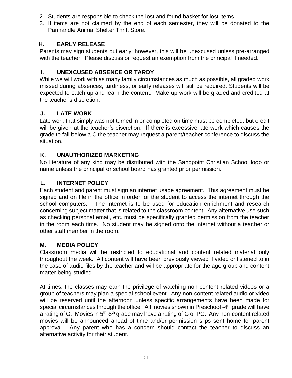- 2. Students are responsible to check the lost and found basket for lost items.
- 3. If items are not claimed by the end of each semester, they will be donated to the Panhandle Animal Shelter Thrift Store.

## <span id="page-20-0"></span>**H. EARLY RELEASE**

Parents may sign students out early; however, this will be unexcused unless pre-arranged with the teacher. Please discuss or request an exemption from the principal if needed.

## <span id="page-20-1"></span>**I. UNEXCUSED ABSENCE OR TARDY**

While we will work with as many family circumstances as much as possible, all graded work missed during absences, tardiness, or early releases will still be required. Students will be expected to catch up and learn the content. Make-up work will be graded and credited at the teacher's discretion.

## <span id="page-20-2"></span>**J. LATE WORK**

Late work that simply was not turned in or completed on time must be completed, but credit will be given at the teacher's discretion. If there is excessive late work which causes the grade to fall below a C the teacher may request a parent/teacher conference to discuss the situation.

## <span id="page-20-3"></span>**K. UNAUTHORIZED MARKETING**

No literature of any kind may be distributed with the Sandpoint Christian School logo or name unless the principal or school board has granted prior permission.

## <span id="page-20-4"></span>**L. INTERNET POLICY**

Each student and parent must sign an internet usage agreement. This agreement must be signed and on file in the office in order for the student to access the internet through the school computers. The internet is to be used for education enrichment and research concerning subject matter that is related to the classroom content. Any alternative use such as checking personal email, etc. must be specifically granted permission from the teacher in the room each time. No student may be signed onto the internet without a teacher or other staff member in the room.

## <span id="page-20-5"></span>**M. MEDIA POLICY**

Classroom media will be restricted to educational and content related material only throughout the week. All content will have been previously viewed if video or listened to in the case of audio files by the teacher and will be appropriate for the age group and content matter being studied.

At times, the classes may earn the privilege of watching non-content related videos or a group of teachers may plan a special school event. Any non-content related audio or video will be reserved until the afternoon unless specific arrangements have been made for special circumstances through the office. All movies shown in Preschool -4<sup>th</sup> grade will have a rating of G. Movies in 5<sup>th</sup>-8<sup>th</sup> grade may have a rating of G or PG. Any non-content related movies will be announced ahead of time and/or permission slips sent home for parent approval. Any parent who has a concern should contact the teacher to discuss an alternative activity for their student.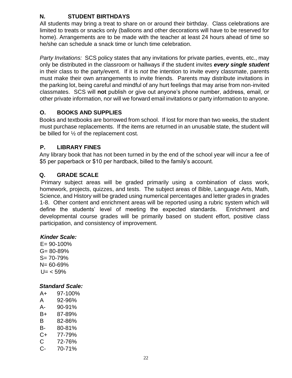# <span id="page-21-0"></span>**N. STUDENT BIRTHDAYS**

All students may bring a treat to share on or around their birthday. Class celebrations are limited to treats or snacks only (balloons and other decorations will have to be reserved for home). Arrangements are to be made with the teacher at least 24 hours ahead of time so he/she can schedule a snack time or lunch time celebration.

*Party Invitations:* SCS policy states that any invitations for private parties, events, etc., may only be distributed in the classroom or hallways if the student invites *every single student* in their class to the party/event. If it is *not* the intention to invite every classmate, parents must make their own arrangements to invite friends. Parents may distribute invitations in the parking lot, being careful and mindful of any hurt feelings that may arise from non-invited classmates. SCS will **not** publish or give out anyone's phone number, address, email, or other private information, nor will we forward email invitations or party information to anyone.

## <span id="page-21-1"></span>**O. BOOKS AND SUPPLIES**

Books and textbooks are borrowed from school. If lost for more than two weeks, the student must purchase replacements. If the items are returned in an unusable state, the student will be billed for ½ of the replacement cost.

## <span id="page-21-2"></span>**P. LIBRARY FINES**

Any library book that has not been turned in by the end of the school year will incur a fee of \$5 per paperback or \$10 per hardback, billed to the family's account.

## <span id="page-21-3"></span>**Q. GRADE SCALE**

Primary subject areas will be graded primarily using a combination of class work, homework, projects, quizzes, and tests. The subject areas of Bible, Language Arts, Math, Science, and History will be graded using numerical percentages and letter grades in grades 1-8. Other content and enrichment areas will be reported using a rubric system which will define the students' level of meeting the expected standards. Enrichment and developmental course grades will be primarily based on student effort, positive class participation, and consistency of improvement.

### *Kinder Scale:*

 $E = 90 - 100\%$ G= 80-89% S= 70-79% N= 60-69%  $U = < 59\%$ 

### *Standard Scale:*

| A+ | 97-100% |
|----|---------|
| A  | 92-96%  |
| А- | 90-91%  |
| B+ | 87-89%  |
| B  | 82-86%  |
| B- | 80-81%  |
| C+ | 77-79%  |
| C  | 72-76%  |
| C- | 70-71%  |